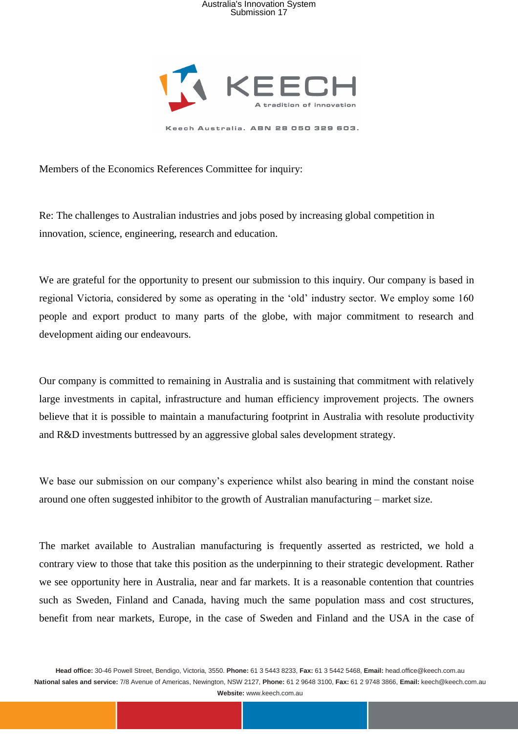

Members of the Economics References Committee for inquiry:

Re: The challenges to Australian industries and jobs posed by increasing global competition in innovation, science, engineering, research and education.

We are grateful for the opportunity to present our submission to this inquiry. Our company is based in regional Victoria, considered by some as operating in the 'old' industry sector. We employ some 160 people and export product to many parts of the globe, with major commitment to research and development aiding our endeavours.

Our company is committed to remaining in Australia and is sustaining that commitment with relatively large investments in capital, infrastructure and human efficiency improvement projects. The owners believe that it is possible to maintain a manufacturing footprint in Australia with resolute productivity and R&D investments buttressed by an aggressive global sales development strategy.

We base our submission on our company's experience whilst also bearing in mind the constant noise around one often suggested inhibitor to the growth of Australian manufacturing – market size.

The market available to Australian manufacturing is frequently asserted as restricted, we hold a contrary view to those that take this position as the underpinning to their strategic development. Rather we see opportunity here in Australia, near and far markets. It is a reasonable contention that countries such as Sweden, Finland and Canada, having much the same population mass and cost structures, benefit from near markets, Europe, in the case of Sweden and Finland and the USA in the case of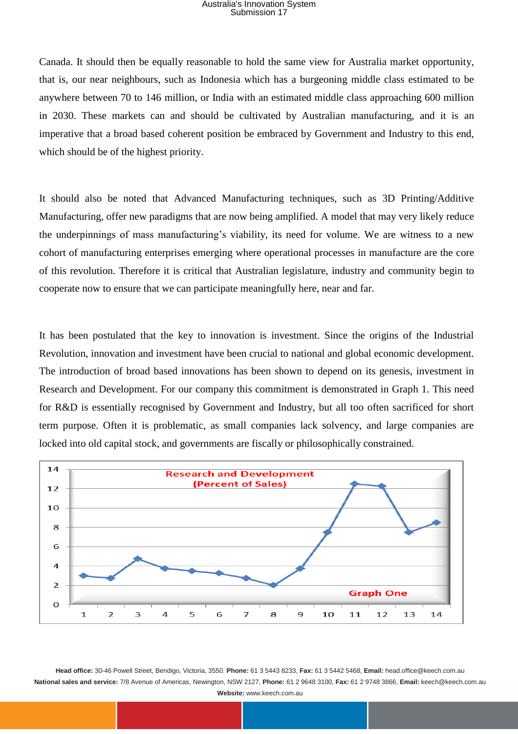Canada. It should then be equally reasonable to hold the same view for Australia market opportunity, that is, our near neighbours, such as Indonesia which has a burgeoning middle class estimated to be anywhere between 70 to 146 million, or India with an estimated middle class approaching 600 million in 2030. These markets can and should be cultivated by Australian manufacturing, and it is an imperative that a broad based coherent position be embraced by Government and Industry to this end, which should be of the highest priority.

It should also be noted that Advanced Manufacturing techniques, such as 3D Printing/Additive Manufacturing, offer new paradigms that are now being amplified. A model that may very likely reduce the underpinnings of mass manufacturing's viability, its need for volume. We are witness to a new cohort of manufacturing enterprises emerging where operational processes in manufacture are the core of this revolution. Therefore it is critical that Australian legislature, industry and community begin to cooperate now to ensure that we can participate meaningfully here, near and far.

It has been postulated that the key to innovation is investment. Since the origins of the Industrial Revolution, innovation and investment have been crucial to national and global economic development. The introduction of broad based innovations has been shown to depend on its genesis, investment in Research and Development. For our company this commitment is demonstrated in Graph 1. This need for R&D is essentially recognised by Government and Industry, but all too often sacrificed for short term purpose. Often it is problematic, as small companies lack solvency, and large companies are locked into old capital stock, and governments are fiscally or philosophically constrained.

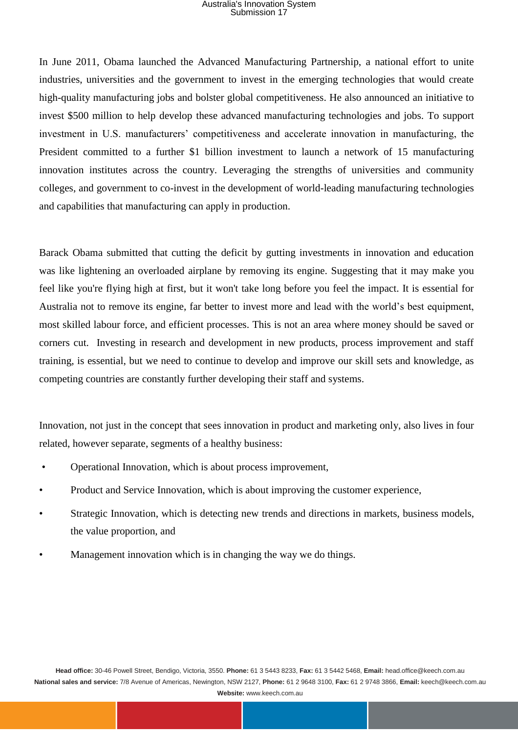In June 2011, Obama launched the Advanced Manufacturing Partnership, a national effort to unite industries, universities and the government to invest in the emerging technologies that would create high-quality manufacturing jobs and bolster global competitiveness. He also announced an initiative to invest \$500 million to help develop these advanced manufacturing technologies and jobs. To support investment in U.S. manufacturers' competitiveness and accelerate innovation in manufacturing, the President committed to a further \$1 billion investment to launch a network of 15 manufacturing innovation institutes across the country. Leveraging the strengths of universities and community colleges, and government to co-invest in the development of world-leading manufacturing technologies and capabilities that manufacturing can apply in production.

Barack Obama submitted that cutting the deficit by gutting investments in innovation and education was like lightening an overloaded airplane by removing its engine. Suggesting that it may make you feel like you're flying high at first, but it won't take long before you feel the impact. It is essential for Australia not to remove its engine, far better to invest more and lead with the world's best equipment, most skilled labour force, and efficient processes. This is not an area where money should be saved or corners cut. Investing in research and development in new products, process improvement and staff training, is essential, but we need to continue to develop and improve our skill sets and knowledge, as competing countries are constantly further developing their staff and systems.

Innovation, not just in the concept that sees innovation in product and marketing only, also lives in four related, however separate, segments of a healthy business:

- Operational Innovation, which is about process improvement,
- Product and Service Innovation, which is about improving the customer experience,
- Strategic Innovation, which is detecting new trends and directions in markets, business models, the value proportion, and
- Management innovation which is in changing the way we do things.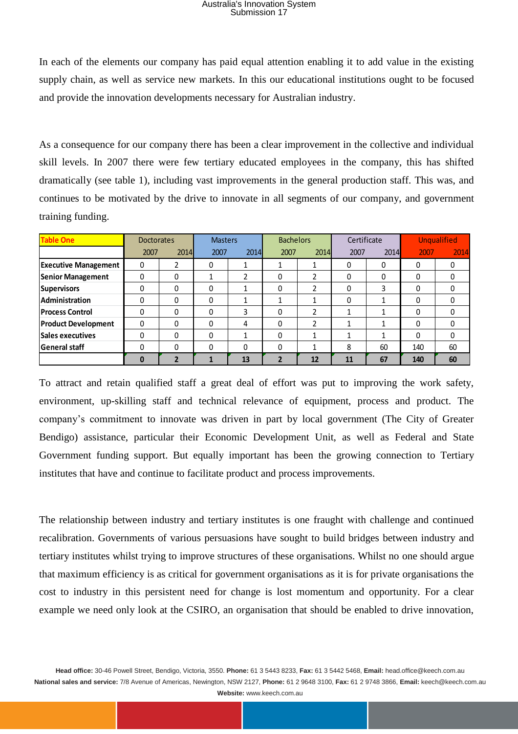|                                                                                                        |                   |                |                | Submission 17  | Australia's Innovation System |                |              |              |                    |             |
|--------------------------------------------------------------------------------------------------------|-------------------|----------------|----------------|----------------|-------------------------------|----------------|--------------|--------------|--------------------|-------------|
|                                                                                                        |                   |                |                |                |                               |                |              |              |                    |             |
| In each of the elements our company has paid equal attention enabling it to add value in the existing  |                   |                |                |                |                               |                |              |              |                    |             |
| supply chain, as well as service new markets. In this our educational institutions ought to be focuse  |                   |                |                |                |                               |                |              |              |                    |             |
|                                                                                                        |                   |                |                |                |                               |                |              |              |                    |             |
| and provide the innovation developments necessary for Australian industry.                             |                   |                |                |                |                               |                |              |              |                    |             |
|                                                                                                        |                   |                |                |                |                               |                |              |              |                    |             |
| As a consequence for our company there has been a clear improvement in the collective and individua    |                   |                |                |                |                               |                |              |              |                    |             |
|                                                                                                        |                   |                |                |                |                               |                |              |              |                    |             |
| skill levels. In 2007 there were few tertiary educated employees in the company, this has shifted      |                   |                |                |                |                               |                |              |              |                    |             |
| dramatically (see table 1), including vast improvements in the general production staff. This was, and |                   |                |                |                |                               |                |              |              |                    |             |
| continues to be motivated by the drive to innovate in all segments of our company, and governmen       |                   |                |                |                |                               |                |              |              |                    |             |
|                                                                                                        |                   |                |                |                |                               |                |              |              |                    |             |
| training funding.                                                                                      |                   |                |                |                |                               |                |              |              |                    |             |
| <b>Table One</b>                                                                                       | <b>Doctorates</b> |                | <b>Masters</b> |                | <b>Bachelors</b>              |                | Certificate  |              | <b>Unqualified</b> |             |
|                                                                                                        | 2007              | 2014           | 2007           | 2014           | 2007                          | 2014           | 2007         | 2014         | 2007               | 2014        |
| <b>Executive Management</b>                                                                            | 0                 | 2              | $\mathbf 0$    | 1              | 1                             | 1              | 0            | 0            | 0                  | $\mathbf 0$ |
| <b>Senior Management</b>                                                                               | 0                 | 0              | 1              | $\overline{2}$ | 0                             | $\overline{2}$ | 0            | $\mathbf 0$  | $\mathbf 0$        | 0           |
| <b>Supervisors</b>                                                                                     | 0                 | $\mathbf 0$    | 0              | $\mathbf{1}$   | $\mathbf 0$                   | $\overline{2}$ | 0            | 3            | $\mathbf 0$        | $\mathbf 0$ |
| Administration                                                                                         | 0                 | 0              | 0              | 1              | 1                             | $\mathbf{1}$   | 0            | 1            | 0                  | 0           |
| <b>Process Control</b>                                                                                 | $\mathbf 0$       | $\Omega$       | $\Omega$       | 3              | $\Omega$                      | $\overline{2}$ | $\mathbf{1}$ | $\mathbf{1}$ | $\Omega$           | $\Omega$    |
| <b>Product Development</b>                                                                             | 0                 | $\mathbf 0$    | $\Omega$       | 4              | $\Omega$                      | $\overline{2}$ | $\mathbf{1}$ | 1            | $\mathbf{0}$       | $\Omega$    |
| <b>Sales executives</b>                                                                                | 0                 | $\pmb{0}$      | 0              | 1              | $\mathbf 0$                   | $\mathbf{1}$   | 1            | 1            | $\mathbf 0$        | $\mathbf 0$ |
| <b>General staff</b>                                                                                   | 0                 | $\mathbf 0$    | 0              | $\Omega$       | $\mathbf 0$                   | $\mathbf{1}$   | 8            | 60           | 140                | 60          |
|                                                                                                        | 0                 | $\overline{2}$ | $\mathbf{1}$   | 13             | $\overline{2}$                | 12             | 11           | 67           | 140                | 60          |

To attract and retain qualified staff a great deal of effort was put to improving the work safety, environment, up-skilling staff and technical relevance of equipment, process and product. The company's commitment to innovate was driven in part by local government (The City of Greater Bendigo) assistance, particular their Economic Development Unit, as well as Federal and State Government funding support. But equally important has been the growing connection to Tertiary institutes that have and continue to facilitate product and process improvements.

The relationship between industry and tertiary institutes is one fraught with challenge and continued recalibration. Governments of various persuasions have sought to build bridges between industry and tertiary institutes whilst trying to improve structures of these organisations. Whilst no one should argue that maximum efficiency is as critical for government organisations as it is for private organisations the cost to industry in this persistent need for change is lost momentum and opportunity. For a clear example we need only look at the CSIRO, an organisation that should be enabled to drive innovation,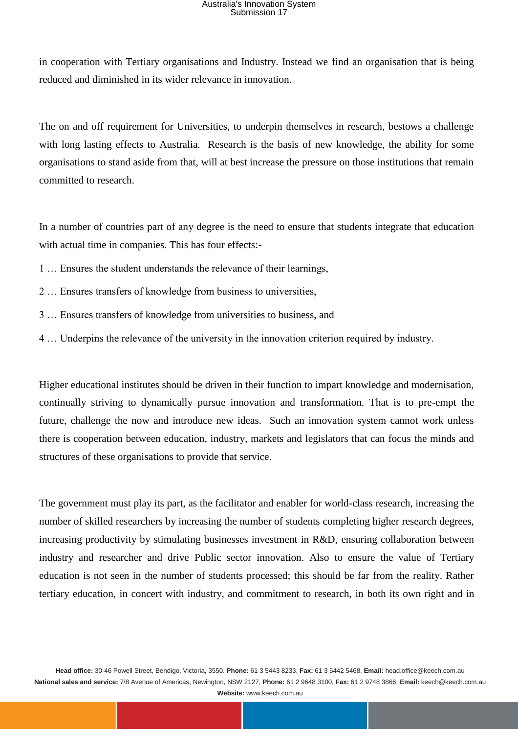in cooperation with Tertiary organisations and Industry. Instead we find an organisation that is being reduced and diminished in its wider relevance in innovation.

The on and off requirement for Universities, to underpin themselves in research, bestows a challenge with long lasting effects to Australia. Research is the basis of new knowledge, the ability for some organisations to stand aside from that, will at best increase the pressure on those institutions that remain committed to research.

In a number of countries part of any degree is the need to ensure that students integrate that education with actual time in companies. This has four effects:-

- 1 … Ensures the student understands the relevance of their learnings,
- 2 … Ensures transfers of knowledge from business to universities,
- 3 … Ensures transfers of knowledge from universities to business, and
- 4 … Underpins the relevance of the university in the innovation criterion required by industry.

Higher educational institutes should be driven in their function to impart knowledge and modernisation, continually striving to dynamically pursue innovation and transformation. That is to pre-empt the future, challenge the now and introduce new ideas. Such an innovation system cannot work unless there is cooperation between education, industry, markets and legislators that can focus the minds and structures of these organisations to provide that service.

The government must play its part, as the facilitator and enabler for world-class research, increasing the number of skilled researchers by increasing the number of students completing higher research degrees, increasing productivity by stimulating businesses investment in R&D, ensuring collaboration between industry and researcher and drive Public sector innovation. Also to ensure the value of Tertiary education is not seen in the number of students processed; this should be far from the reality. Rather tertiary education, in concert with industry, and commitment to research, in both its own right and in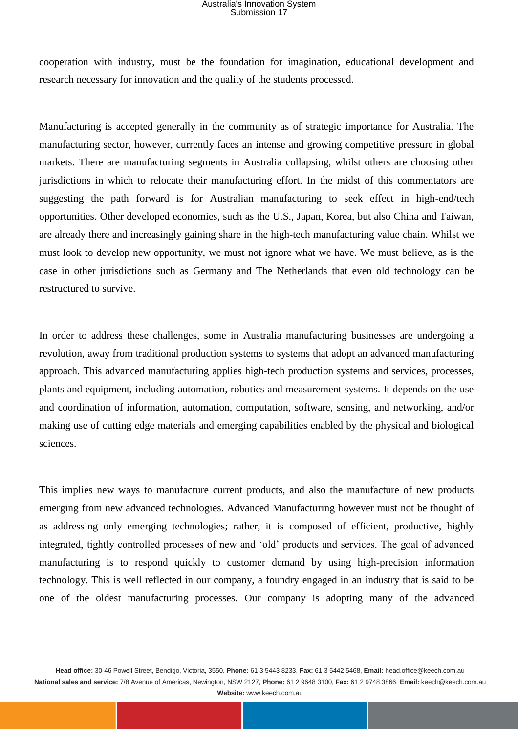cooperation with industry, must be the foundation for imagination, educational development and research necessary for innovation and the quality of the students processed.

Manufacturing is accepted generally in the community as of strategic importance for Australia. The manufacturing sector, however, currently faces an intense and growing competitive pressure in global markets. There are manufacturing segments in Australia collapsing, whilst others are choosing other jurisdictions in which to relocate their manufacturing effort. In the midst of this commentators are suggesting the path forward is for Australian manufacturing to seek effect in high-end/tech opportunities. Other developed economies, such as the U.S., Japan, Korea, but also China and Taiwan, are already there and increasingly gaining share in the high-tech manufacturing value chain. Whilst we must look to develop new opportunity, we must not ignore what we have. We must believe, as is the case in other jurisdictions such as Germany and The Netherlands that even old technology can be restructured to survive.

In order to address these challenges, some in Australia manufacturing businesses are undergoing a revolution, away from traditional production systems to systems that adopt an advanced manufacturing approach. This advanced manufacturing applies high-tech production systems and services, processes, plants and equipment, including automation, robotics and measurement systems. It depends on the use and coordination of information, automation, computation, software, sensing, and networking, and/or making use of cutting edge materials and emerging capabilities enabled by the physical and biological sciences.

This implies new ways to manufacture current products, and also the manufacture of new products emerging from new advanced technologies. Advanced Manufacturing however must not be thought of as addressing only emerging technologies; rather, it is composed of efficient, productive, highly integrated, tightly controlled processes of new and 'old' products and services. The goal of advanced manufacturing is to respond quickly to customer demand by using high-precision information technology. This is well reflected in our company, a foundry engaged in an industry that is said to be one of the oldest manufacturing processes. Our company is adopting many of the advanced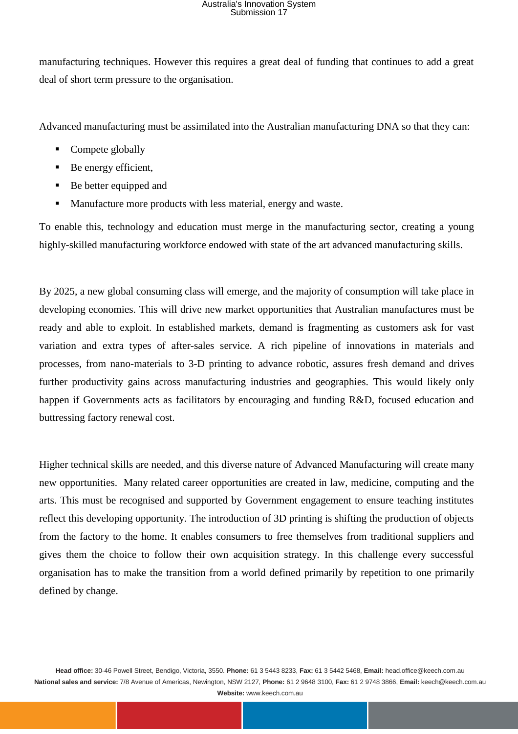manufacturing techniques. However this requires a great deal of funding that continues to add a great deal of short term pressure to the organisation.

Advanced manufacturing must be assimilated into the Australian manufacturing DNA so that they can:

- Compete globally
- Be energy efficient,
- Be better equipped and
- Manufacture more products with less material, energy and waste.

To enable this, technology and education must merge in the manufacturing sector, creating a young highly-skilled manufacturing workforce endowed with state of the art advanced manufacturing skills.

By 2025, a new global consuming class will emerge, and the majority of consumption will take place in developing economies. This will drive new market opportunities that Australian manufactures must be ready and able to exploit. In established markets, demand is fragmenting as customers ask for vast variation and extra types of after-sales service. A rich pipeline of innovations in materials and processes, from nano-materials to 3-D printing to advance robotic, assures fresh demand and drives further productivity gains across manufacturing industries and geographies. This would likely only happen if Governments acts as facilitators by encouraging and funding R&D, focused education and buttressing factory renewal cost.

Higher technical skills are needed, and this diverse nature of Advanced Manufacturing will create many new opportunities. Many related career opportunities are created in law, medicine, computing and the arts. This must be recognised and supported by Government engagement to ensure teaching institutes reflect this developing opportunity. The introduction of 3D printing is shifting the production of objects from the factory to the home. It enables consumers to free themselves from traditional suppliers and gives them the choice to follow their own acquisition strategy. In this challenge every successful organisation has to make the transition from a world defined primarily by repetition to one primarily defined by change.